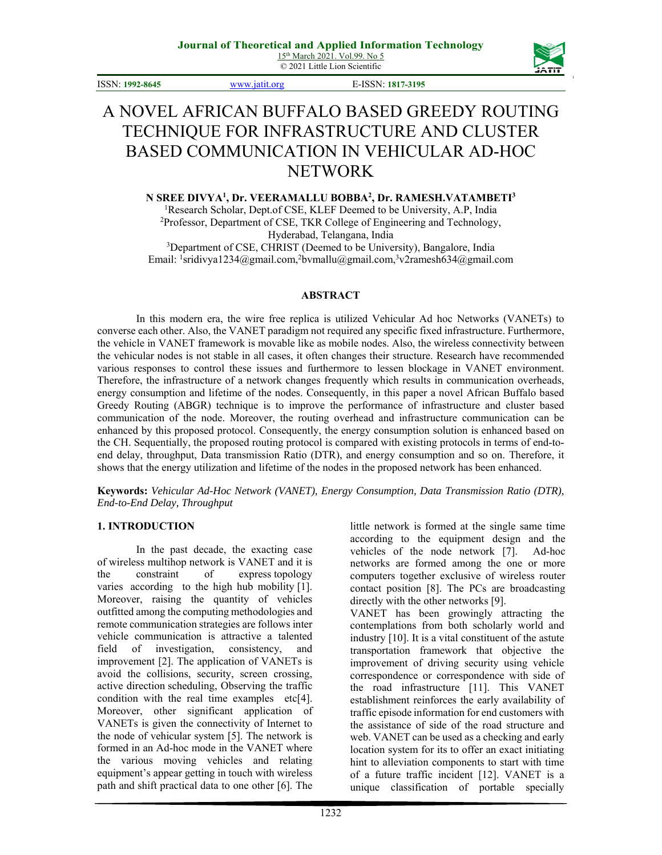© 2021 Little Lion Scientific



ISSN: **1992-8645** www.jatit.org E-ISSN: **1817-3195**

# A NOVEL AFRICAN BUFFALO BASED GREEDY ROUTING TECHNIQUE FOR INFRASTRUCTURE AND CLUSTER BASED COMMUNICATION IN VEHICULAR AD-HOC NETWORK

**N SREE DIVYA1 , Dr. VEERAMALLU BOBBA2 , Dr. RAMESH.VATAMBETI3** <sup>1</sup>Research Scholar, Dept.of CSE, KLEF Deemed to be University, A.P., India <sup>2</sup>Professor, Department of CSE, TKR College of Engineering and Technology Professor, Department of CSE, TKR College of Engineering and Technology, Hyderabad, Telangana, India <sup>3</sup>Department of CSE, CHRIST (Deemed to be University), Bangalore, India Email: <sup>1</sup>sridivya1234@gmail.com,<sup>2</sup>bvmallu@gmail.com,<sup>3</sup>v2ramesh634@gmail.com

#### **ABSTRACT**

In this modern era, the wire free replica is utilized Vehicular Ad hoc Networks (VANETs) to converse each other. Also, the VANET paradigm not required any specific fixed infrastructure. Furthermore, the vehicle in VANET framework is movable like as mobile nodes. Also, the wireless connectivity between the vehicular nodes is not stable in all cases, it often changes their structure. Research have recommended various responses to control these issues and furthermore to lessen blockage in VANET environment. Therefore, the infrastructure of a network changes frequently which results in communication overheads, energy consumption and lifetime of the nodes. Consequently, in this paper a novel African Buffalo based Greedy Routing (ABGR) technique is to improve the performance of infrastructure and cluster based communication of the node. Moreover, the routing overhead and infrastructure communication can be enhanced by this proposed protocol. Consequently, the energy consumption solution is enhanced based on the CH. Sequentially, the proposed routing protocol is compared with existing protocols in terms of end-toend delay, throughput, Data transmission Ratio (DTR), and energy consumption and so on. Therefore, it shows that the energy utilization and lifetime of the nodes in the proposed network has been enhanced.

**Keywords:** *Vehicular Ad-Hoc Network (VANET), Energy Consumption, Data Transmission Ratio (DTR), End-to-End Delay, Throughput* 

#### **1. INTRODUCTION**

In the past decade, the exacting case of wireless multihop network is VANET and it is the constraint of express topology varies according to the high hub mobility [1]. Moreover, raising the quantity of vehicles outfitted among the computing methodologies and remote communication strategies are follows inter vehicle communication is attractive a talented field of investigation, consistency, and improvement [2]. The application of VANETs is avoid the collisions, security, screen crossing, active direction scheduling, Observing the traffic condition with the real time examples etc[4]. Moreover, other significant application of VANETs is given the connectivity of Internet to the node of vehicular system [5]. The network is formed in an Ad-hoc mode in the VANET where the various moving vehicles and relating equipment's appear getting in touch with wireless path and shift practical data to one other [6]. The

little network is formed at the single same time according to the equipment design and the vehicles of the node network [7]. Ad-hoc networks are formed among the one or more computers together exclusive of wireless router contact position [8]. The PCs are broadcasting directly with the other networks [9].

VANET has been growingly attracting the contemplations from both scholarly world and industry [10]. It is a vital constituent of the astute transportation framework that objective the improvement of driving security using vehicle correspondence or correspondence with side of the road infrastructure [11]. This VANET establishment reinforces the early availability of traffic episode information for end customers with the assistance of side of the road structure and web. VANET can be used as a checking and early location system for its to offer an exact initiating hint to alleviation components to start with time of a future traffic incident [12]. VANET is a unique classification of portable specially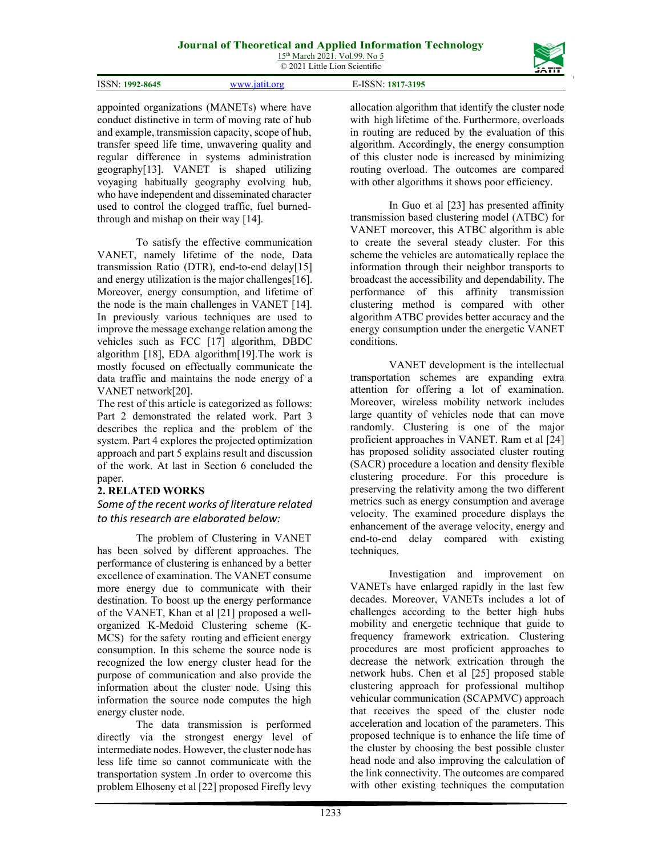

| ISSN:<br>77.3105<br>1992-8645 |
|-------------------------------|
|-------------------------------|

appointed organizations (MANETs) where have conduct distinctive in term of moving rate of hub and example, transmission capacity, scope of hub, transfer speed life time, unwavering quality and regular difference in systems administration geography[13]. VANET is shaped utilizing voyaging habitually geography evolving hub, who have independent and disseminated character used to control the clogged traffic, fuel burnedthrough and mishap on their way [14].

To satisfy the effective communication VANET, namely lifetime of the node, Data transmission Ratio (DTR), end-to-end delay[15] and energy utilization is the major challenges[16]. Moreover, energy consumption, and lifetime of the node is the main challenges in VANET [14]. In previously various techniques are used to improve the message exchange relation among the vehicles such as FCC [17] algorithm, DBDC algorithm [18], EDA algorithm[19].The work is mostly focused on effectually communicate the data traffic and maintains the node energy of a VANET network[20].

The rest of this article is categorized as follows: Part 2 demonstrated the related work. Part 3 describes the replica and the problem of the system. Part 4 explores the projected optimization approach and part 5 explains result and discussion of the work. At last in Section 6 concluded the paper.

## **2. RELATED WORKS**

## *Some of the recent works of literature related to this research are elaborated below:*

The problem of Clustering in VANET has been solved by different approaches. The performance of clustering is enhanced by a better excellence of examination. The VANET consume more energy due to communicate with their destination. To boost up the energy performance of the VANET, Khan et al [21] proposed a wellorganized K-Medoid Clustering scheme (K-MCS) for the safety routing and efficient energy consumption. In this scheme the source node is recognized the low energy cluster head for the purpose of communication and also provide the information about the cluster node. Using this information the source node computes the high energy cluster node.

The data transmission is performed directly via the strongest energy level of intermediate nodes. However, the cluster node has less life time so cannot communicate with the transportation system .In order to overcome this problem Elhoseny et al [22] proposed Firefly levy

allocation algorithm that identify the cluster node with high lifetime of the. Furthermore, overloads in routing are reduced by the evaluation of this algorithm. Accordingly, the energy consumption of this cluster node is increased by minimizing routing overload. The outcomes are compared with other algorithms it shows poor efficiency.

In Guo et al [23] has presented affinity transmission based clustering model (ATBC) for VANET moreover, this ATBC algorithm is able to create the several steady cluster. For this scheme the vehicles are automatically replace the information through their neighbor transports to broadcast the accessibility and dependability. The performance of this affinity transmission clustering method is compared with other algorithm ATBC provides better accuracy and the energy consumption under the energetic VANET conditions.

VANET development is the intellectual transportation schemes are expanding extra attention for offering a lot of examination. Moreover, wireless mobility network includes large quantity of vehicles node that can move randomly. Clustering is one of the major proficient approaches in VANET. Ram et al [24] has proposed solidity associated cluster routing (SACR) procedure a location and density flexible clustering procedure. For this procedure is preserving the relativity among the two different metrics such as energy consumption and average velocity. The examined procedure displays the enhancement of the average velocity, energy and end-to-end delay compared with existing techniques.

Investigation and improvement on VANETs have enlarged rapidly in the last few decades. Moreover, VANETs includes a lot of challenges according to the better high hubs mobility and energetic technique that guide to frequency framework extrication. Clustering procedures are most proficient approaches to decrease the network extrication through the network hubs. Chen et al [25] proposed stable clustering approach for professional multihop vehicular communication (SCAPMVC) approach that receives the speed of the cluster node acceleration and location of the parameters. This proposed technique is to enhance the life time of the cluster by choosing the best possible cluster head node and also improving the calculation of the link connectivity. The outcomes are compared with other existing techniques the computation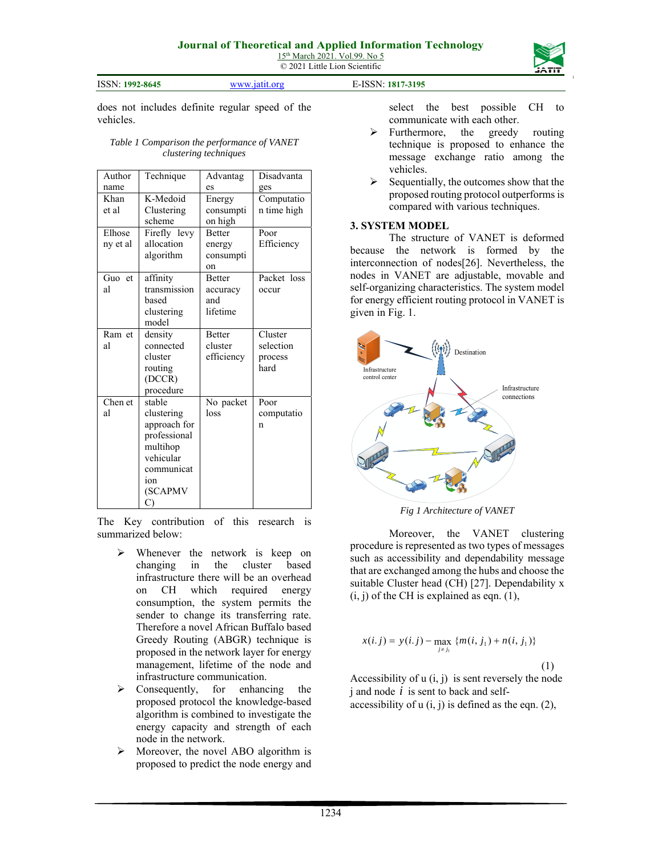© 2021 Little Lion Scientific





does not includes definite regular speed of the vehicles.

#### *Table 1 Comparison the performance of VANET clustering techniques*

| Author   | Technique    | Advantag      | Disadvanta  |
|----------|--------------|---------------|-------------|
| name     |              | es            | ges         |
| Khan     | K-Medoid     | Energy        | Computatio  |
| et al    | Clustering   | consumpti     | n time high |
|          | scheme       | on high       |             |
| Elhose   | Firefly levy | <b>Retter</b> | Poor        |
| ny et al | allocation   | energy        | Efficiency  |
|          | algorithm    | consumpti     |             |
|          |              | on            |             |
| Guo et   | affinity     | <b>Better</b> | Packet loss |
| al       | transmission | accuracy      | occur       |
|          | based        | and           |             |
|          | clustering   | lifetime      |             |
|          | model        |               |             |
| Ram et   | density      | <b>Better</b> | Cluster     |
| al       | connected    | cluster       | selection   |
|          | cluster      | efficiency    | process     |
|          | routing      |               | hard        |
|          | (DCCR)       |               |             |
|          | procedure    |               |             |
| Chen et  | stable       | No packet     | Poor        |
| al       | clustering   | loss          | computatio  |
|          | approach for |               | n           |
|          | professional |               |             |
|          | multihop     |               |             |
|          | vehicular    |               |             |
|          | communicat   |               |             |
|          | ion          |               |             |
|          | (SCAPMV      |               |             |
|          | C)           |               |             |

The Key contribution of this research is summarized below:

- $\triangleright$  Whenever the network is keep on changing in the cluster based infrastructure there will be an overhead on CH which required energy consumption, the system permits the sender to change its transferring rate. Therefore a novel African Buffalo based Greedy Routing (ABGR) technique is proposed in the network layer for energy management, lifetime of the node and infrastructure communication.
- $\triangleright$  Consequently, for enhancing the proposed protocol the knowledge-based algorithm is combined to investigate the energy capacity and strength of each node in the network.
- $\triangleright$  Moreover, the novel ABO algorithm is proposed to predict the node energy and

select the best possible CH to communicate with each other.

- > Furthermore, the greedy routing technique is proposed to enhance the message exchange ratio among the vehicles.
- $\triangleright$  Sequentially, the outcomes show that the proposed routing protocol outperforms is compared with various techniques.

#### **3. SYSTEM MODEL**

The structure of VANET is deformed because the network is formed by the interconnection of nodes[26]. Nevertheless, the nodes in VANET are adjustable, movable and self-organizing characteristics. The system model for energy efficient routing protocol in VANET is given in Fig. 1.



*Fig 1 Architecture of VANET* 

Moreover, the VANET clustering procedure is represented as two types of messages such as accessibility and dependability message that are exchanged among the hubs and choose the suitable Cluster head (CH) [27]. Dependability x  $(i, j)$  of the CH is explained as eqn.  $(1)$ ,

$$
x(i.j) = y(i.j) - \max_{j \neq j_1} \{m(i, j_1) + n(i, j_1)\}
$$
\n(1)

Accessibility of  $u(i, j)$  is sent reversely the node j and node *i* is sent to back and selfaccessibility of  $u(i, j)$  is defined as the eqn. (2),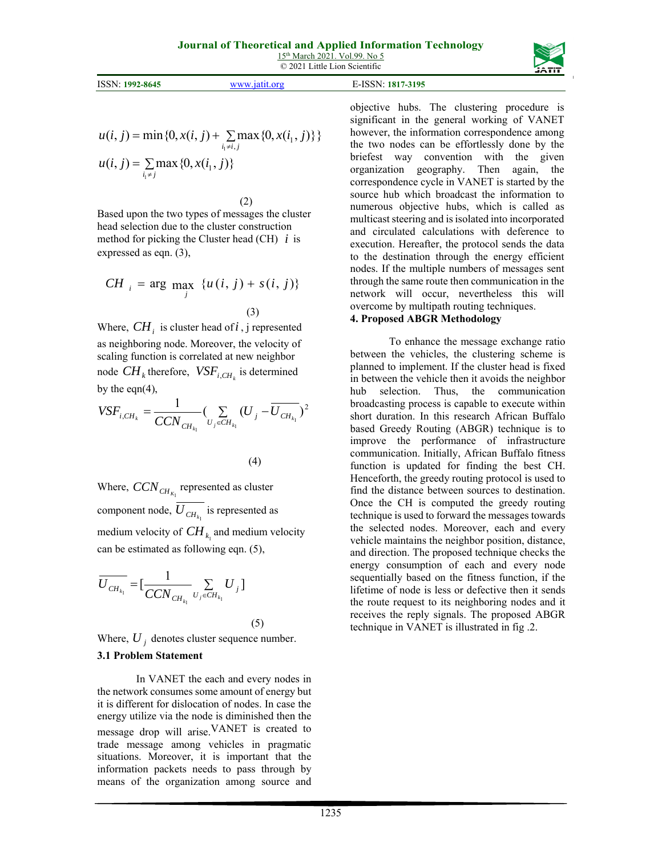© 2021 Little Lion Scientific

|                           |          |                  | ------- |
|---------------------------|----------|------------------|---------|
| ISSN:1<br>$: 1992 - 8645$ | www.1911 | -ISSN: 1817-3195 |         |

$$
u(i, j) = \min\{0, x(i, j) + \sum_{i_1 \neq i, j} \max\{0, x(i_1, j)\}\}
$$
  

$$
u(i, j) = \sum_{i_1 \neq j} \max\{0, x(i_1, j)\}\
$$

(2)

Based upon the two types of messages the cluster head selection due to the cluster construction method for picking the Cluster head (CH) *i* is expressed as eqn. (3),

$$
CH_{i} = \arg \max_{j} \{u(i, j) + s(i, j)\}
$$
\n
$$
(3)
$$

Where,  $CH_i$  is cluster head of *i*, j represented as neighboring node. Moreover, the velocity of scaling function is correlated at new neighbor node  $CH_k$  therefore,  $VSF_{i,CH_k}$  is determined by the eqn $(4)$ ,

$$
VSF_{i,CH_k} = \frac{1}{CCN_{CH_{k_1}}} \left( \sum_{U_j \in CH_{k_1}} (U_j - \overline{U_{CH_{k_1}}} )^2 \right)
$$

(4)

Where,  $CCN_{CH_{K_1}}$  represented as cluster component node,  $U_{CH_k}$  is represented as medium velocity of  $CH_{k_1}$  and medium velocity can be estimated as following eqn. (5),

$$
\overline{U_{CH_{k_1}}} = \left[\frac{1}{CCN_{CH_{k_1}}} \sum_{U_j \in CH_{k_1}} U_j\right]
$$
\n(5)

Where,  $U_i$  denotes cluster sequence number.

## **3.1 Problem Statement**

In VANET the each and every nodes in the network consumes some amount of energy but it is different for dislocation of nodes. In case the energy utilize via the node is diminished then the message drop will arise.VANET is created to trade message among vehicles in pragmatic situations. Moreover, it is important that the information packets needs to pass through by means of the organization among source and objective hubs. The clustering procedure is significant in the general working of VANET however, the information correspondence among the two nodes can be effortlessly done by the briefest way convention with the given organization geography. Then again, the correspondence cycle in VANET is started by the source hub which broadcast the information to numerous objective hubs, which is called as multicast steering and is isolated into incorporated and circulated calculations with deference to execution. Hereafter, the protocol sends the data to the destination through the energy efficient nodes. If the multiple numbers of messages sent through the same route then communication in the network will occur, nevertheless this will overcome by multipath routing techniques.

### **4. Proposed ABGR Methodology**

To enhance the message exchange ratio between the vehicles, the clustering scheme is planned to implement. If the cluster head is fixed in between the vehicle then it avoids the neighbor hub selection. Thus, the communication broadcasting process is capable to execute within short duration. In this research African Buffalo based Greedy Routing (ABGR) technique is to improve the performance of infrastructure communication. Initially, African Buffalo fitness function is updated for finding the best CH. Henceforth, the greedy routing protocol is used to find the distance between sources to destination. Once the CH is computed the greedy routing technique is used to forward the messages towards the selected nodes. Moreover, each and every vehicle maintains the neighbor position, distance, and direction. The proposed technique checks the energy consumption of each and every node sequentially based on the fitness function, if the lifetime of node is less or defective then it sends the route request to its neighboring nodes and it receives the reply signals. The proposed ABGR technique in VANET is illustrated in fig .2.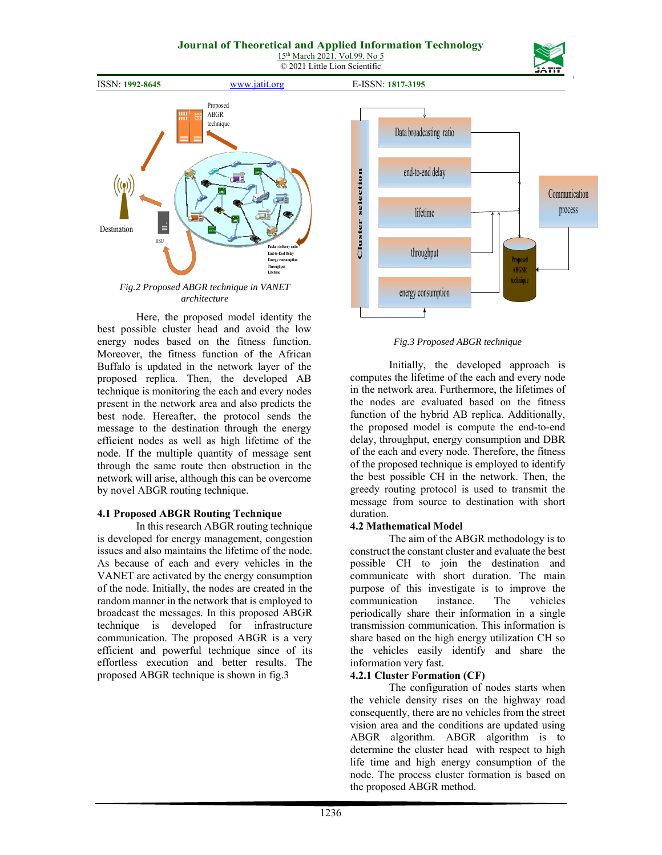## **Journal of Theoretical and Applied Information Technology**

15<sup>th</sup> March 2021. Vol.99. No 5 © 2021 Little Lion Scientific



ISSN: **1992-8645** www.jatit.org E-ISSN: **1817-3195**



**Destination** Proposed ABGR technique **Packet delivery ratio End-to-End I Energy** co **Throughput Lifetime RSU** 

*Fig.2 Proposed ABGR technique in VANET architecture* 

Here, the proposed model identity the best possible cluster head and avoid the low energy nodes based on the fitness function. Moreover, the fitness function of the African Buffalo is updated in the network layer of the proposed replica. Then, the developed AB technique is monitoring the each and every nodes present in the network area and also predicts the best node. Hereafter, the protocol sends the message to the destination through the energy efficient nodes as well as high lifetime of the node. If the multiple quantity of message sent through the same route then obstruction in the network will arise, although this can be overcome by novel ABGR routing technique.

#### **4.1 Proposed ABGR Routing Technique**

In this research ABGR routing technique is developed for energy management, congestion issues and also maintains the lifetime of the node. As because of each and every vehicles in the VANET are activated by the energy consumption of the node. Initially, the nodes are created in the random manner in the network that is employed to broadcast the messages. In this proposed ABGR technique is developed for infrastructure communication. The proposed ABGR is a very efficient and powerful technique since of its effortless execution and better results. The proposed ABGR technique is shown in fig.3



*Fig.3 Proposed ABGR technique* 

Initially, the developed approach is computes the lifetime of the each and every node in the network area. Furthermore, the lifetimes of the nodes are evaluated based on the fitness function of the hybrid AB replica. Additionally, the proposed model is compute the end-to-end delay, throughput, energy consumption and DBR of the each and every node. Therefore, the fitness of the proposed technique is employed to identify the best possible CH in the network. Then, the greedy routing protocol is used to transmit the message from source to destination with short duration.

## **4.2 Mathematical Model**

The aim of the ABGR methodology is to construct the constant cluster and evaluate the best possible CH to join the destination and communicate with short duration. The main purpose of this investigate is to improve the communication instance. The vehicles periodically share their information in a single transmission communication. This information is share based on the high energy utilization CH so the vehicles easily identify and share the information very fast.

## **4.2.1 Cluster Formation (CF)**

The configuration of nodes starts when the vehicle density rises on the highway road consequently, there are no vehicles from the street vision area and the conditions are updated using ABGR algorithm. ABGR algorithm is to determine the cluster head with respect to high life time and high energy consumption of the node. The process cluster formation is based on the proposed ABGR method.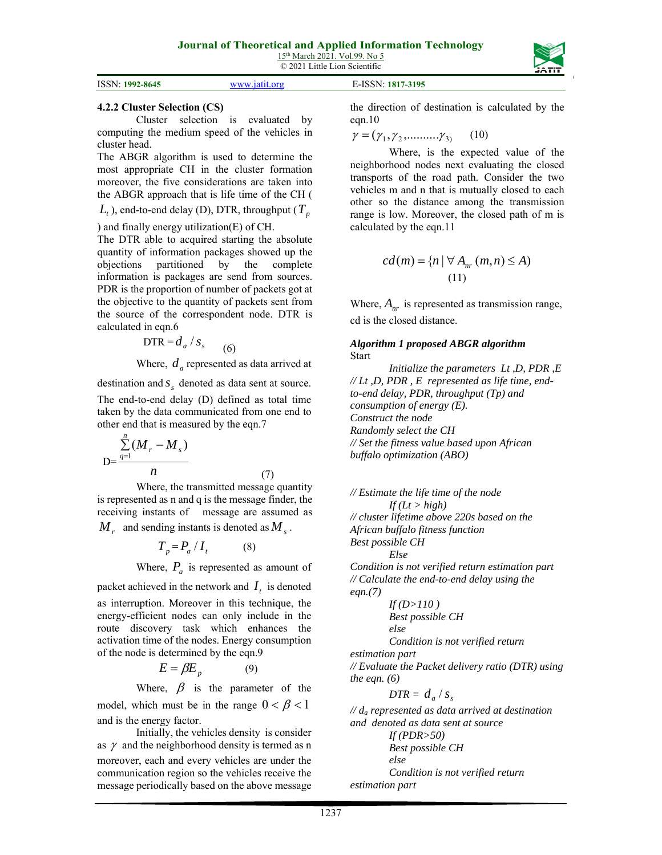| ISSN: 1992-8645 | www.jatit.org | E-ISSN: 1817-3195 |  |
|-----------------|---------------|-------------------|--|

## **4.2.2 Cluster Selection (CS)**

Cluster selection is evaluated by computing the medium speed of the vehicles in cluster head.

The ABGR algorithm is used to determine the most appropriate CH in the cluster formation moreover, the five considerations are taken into the ABGR approach that is life time of the CH (

 $L_t$ ), end-to-end delay (D), DTR, throughput ( $T_p$ 

) and finally energy utilization(E) of CH.

The DTR able to acquired starting the absolute quantity of information packages showed up the objections partitioned by the complete information is packages are send from sources. PDR is the proportion of number of packets got at the objective to the quantity of packets sent from the source of the correspondent node. DTR is calculated in eqn.6

$$
DTR = d_a / s_s \tag{6}
$$

Where,  $d_a$  represented as data arrived at

destination and *<sup>s</sup> s* denoted as data sent at source. The end-to-end delay (D) defined as total time taken by the data communicated from one end to other end that is measured by the eqn.7

$$
D=\frac{\sum_{q=1}^{n}(M_r-M_s)}{n}
$$
 (7)

Where, the transmitted message quantity is represented as n and q is the message finder, the receiving instants of message are assumed as

 $M_r$  and sending instants is denoted as  $M_s$ .

$$
T_p = P_a / I_t \tag{8}
$$

Where,  $P_a$  is represented as amount of

packet achieved in the network and  $I_t$  is denoted as interruption. Moreover in this technique, the energy-efficient nodes can only include in the route discovery task which enhances the activation time of the nodes. Energy consumption of the node is determined by the eqn.9

$$
E = \beta E_p \tag{9}
$$

Where,  $\beta$  is the parameter of the model, which must be in the range  $0 < \beta < 1$ and is the energy factor.

Initially, the vehicles density is consider as  $\gamma$  and the neighborhood density is termed as n moreover, each and every vehicles are under the communication region so the vehicles receive the message periodically based on the above message the direction of destination is calculated by the eqn.10

$$
\gamma = (\gamma_1, \gamma_2, \dots, \gamma_3) \tag{10}
$$

Where, is the expected value of the neighborhood nodes next evaluating the closed transports of the road path. Consider the two vehicles m and n that is mutually closed to each other so the distance among the transmission range is low. Moreover, the closed path of m is calculated by the eqn.11

$$
cd(m) = \{n \mid \forall A_{nr}(m,n) \le A)
$$
  
(11)

Where,  $A_{nr}$  is represented as transmission range, cd is the closed distance.

### *Algorithm 1 proposed ABGR algorithm*  Start

*Initialize the parameters Lt ,D, PDR ,E // Lt ,D, PDR , E represented as life time, endto-end delay, PDR, throughput (Tp) and consumption of energy (E). Construct the node Randomly select the CH // Set the fitness value based upon African buffalo optimization (ABO)* 

*// Estimate the life time of the node*   $If (Lt > high)$ *// cluster lifetime above 220s based on the African buffalo fitness function Best possible CH Else Condition is not verified return estimation part // Calculate the end-to-end delay using the eqn.(7) If (D>110 ) Best possible CH else Condition is not verified return estimation part // Evaluate the Packet delivery ratio (DTR) using the eqn. (6)* 

$$
DTR = d_a / s_s
$$

*// da represented as data arrived at destination and denoted as data sent at source If (PDR>50) Best possible CH else Condition is not verified return* 

*estimation part*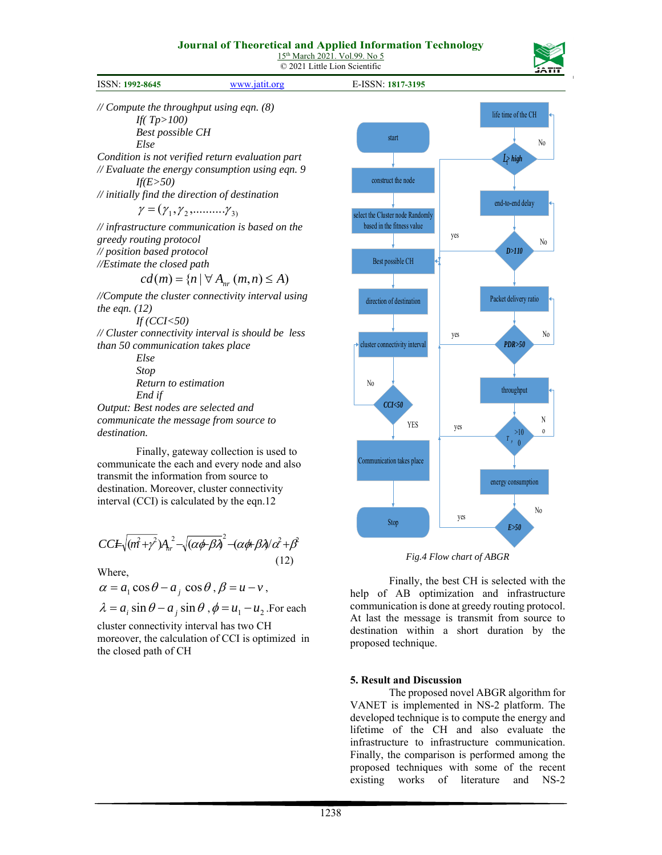### **Journal of Theoretical and Applied Information Technology**

15<sup>th</sup> March 2021. Vol.99. No 5 © 2021 Little Lion Scientific

| <b>ISSN: 1992-8645</b> | ⊤iafit ∩ro<br>$T\mathbf{X}^T\mathbf{X}^T$ | ∴-ISSN∙<br>1817-3195 |  |
|------------------------|-------------------------------------------|----------------------|--|

*// Compute the throughput using eqn. (8) If( Tp>100) Best possible CH Else Condition is not verified return evaluation part // Evaluate the energy consumption using eqn. 9 If(E>50) // initially find the direction of destination*   $\gamma = (\gamma_1, \gamma_2, \ldots, \gamma_3)$ *// infrastructure communication is based on the greedy routing protocol // position based protocol //Estimate the closed path*   $cd(m) = \{n \mid \forall A_{nr}(m,n) \leq A\}$ *//Compute the cluster connectivity interval using the eqn. (12) If (CCI<50) // Cluster connectivity interval is should be less than 50 communication takes place Else Stop Return to estimation End if Output: Best nodes are selected and communicate the message from source to* 

*destination.*

Finally, gateway collection is used to communicate the each and every node and also transmit the information from source to destination. Moreover, cluster connectivity interval (CCI) is calculated by the eqn.12

$$
CCE\sqrt{(m^2+\gamma^2)}A_{hr}^2-\sqrt{(\alpha\phi\beta\lambda)^2}-(\alpha\phi\beta\lambda/\alpha^2+\beta^2)
$$
\n(12)

Where,

$$
\alpha = a_1 \cos \theta - a_j \cos \theta, \beta = u - v,
$$

 $\lambda = a_i \sin \theta - a_j \sin \theta$ ,  $\phi = u_1 - u_2$ . For each

cluster connectivity interval has two CH moreover, the calculation of CCI is optimized in the closed path of CH



*Fig.4 Flow chart of ABGR* 

Finally, the best CH is selected with the help of AB optimization and infrastructure communication is done at greedy routing protocol. At last the message is transmit from source to destination within a short duration by the proposed technique.

#### **5. Result and Discussion**

The proposed novel ABGR algorithm for VANET is implemented in NS-2 platform. The developed technique is to compute the energy and lifetime of the CH and also evaluate the infrastructure to infrastructure communication. Finally, the comparison is performed among the proposed techniques with some of the recent existing works of literature and NS-2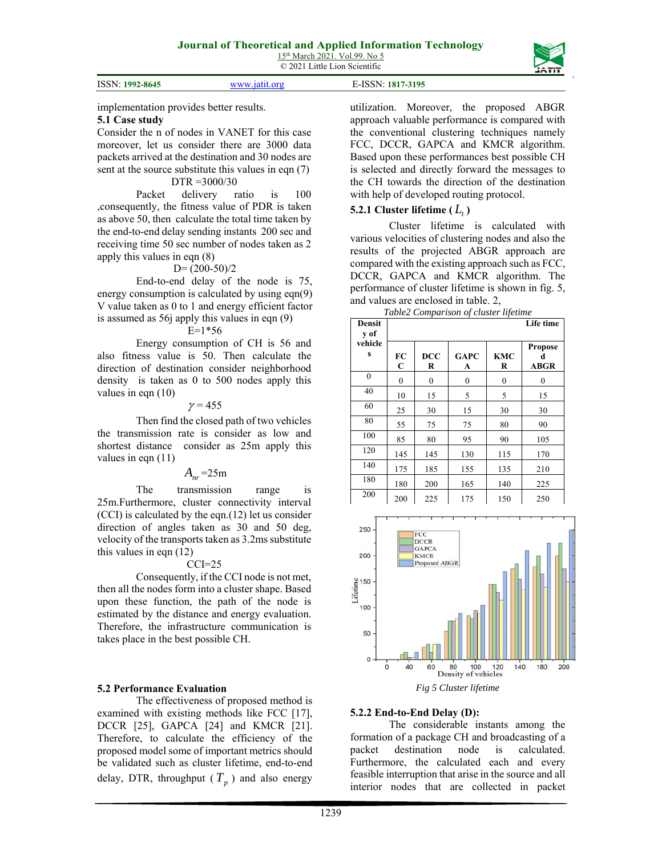|                 |                   | ----- |
|-----------------|-------------------|-------|
|                 |                   |       |
| ISSN: 1992-8645 | E-ISSN: 1817-3195 |       |

implementation provides better results.

### **5.1 Case study**

Consider the n of nodes in VANET for this case moreover, let us consider there are 3000 data packets arrived at the destination and 30 nodes are sent at the source substitute this values in eqn (7) DTR =3000/30

Packet delivery ratio is 100 ,consequently, the fitness value of PDR is taken as above 50, then calculate the total time taken by the end-to-end delay sending instants 200 sec and receiving time 50 sec number of nodes taken as 2 apply this values in eqn (8)

### $D=(200-50)/2$

End-to-end delay of the node is 75, energy consumption is calculated by using eqn(9) V value taken as 0 to 1 and energy efficient factor is assumed as 56j apply this values in eqn (9)

### $E=1*56$

Energy consumption of CH is 56 and also fitness value is 50. Then calculate the direction of destination consider neighborhood density is taken as 0 to 500 nodes apply this values in eqn (10)

#### $\gamma = 455$

Then find the closed path of two vehicles the transmission rate is consider as low and shortest distance consider as 25m apply this values in eqn (11)

## $A_{nr}$  = 25m

The transmission range is 25m.Furthermore, cluster connectivity interval (CCI) is calculated by the eqn.(12) let us consider direction of angles taken as 30 and 50 deg, velocity of the transports taken as 3.2ms substitute this values in eqn (12)

## $CCI=25$

Consequently, if the CCI node is not met, then all the nodes form into a cluster shape. Based upon these function, the path of the node is estimated by the distance and energy evaluation. Therefore, the infrastructure communication is takes place in the best possible CH.

## **5.2 Performance Evaluation**

The effectiveness of proposed method is examined with existing methods like FCC [17], DCCR [25], GAPCA [24] and KMCR [21]. Therefore, to calculate the efficiency of the proposed model some of important metrics should be validated such as cluster lifetime, end-to-end delay, DTR, throughput  $(T_p)$  and also energy

utilization. Moreover, the proposed ABGR approach valuable performance is compared with the conventional clustering techniques namely FCC, DCCR, GAPCA and KMCR algorithm. Based upon these performances best possible CH is selected and directly forward the messages to the CH towards the direction of the destination with help of developed routing protocol.

## **5.2.1 Cluster lifetime**  $(L_1)$

Cluster lifetime is calculated with various velocities of clustering nodes and also the results of the projected ABGR approach are compared with the existing approach such as FCC, DCCR, GAPCA and KMCR algorithm. The performance of cluster lifetime is shown in fig. 5, and values are enclosed in table. 2,

| Densit<br>y of |                   |                  |                  |                 | Life time                          |
|----------------|-------------------|------------------|------------------|-----------------|------------------------------------|
| vehicle<br>s   | FC<br>$\mathbf C$ | <b>DCC</b><br>R  | <b>GAPC</b><br>A | <b>KMC</b><br>R | <b>Propose</b><br>d<br><b>ABGR</b> |
| $\mathbf{0}$   | $\mathbf{0}$      | $\boldsymbol{0}$ | 0                | 0               | 0                                  |
| 40             | 10                | 15               | 5                | 5               | 15                                 |
| 60             | 25                | 30               | 15               | 30              | 30                                 |
| 80             | 55                | 75               | 75               | 80              | 90                                 |
| 100            | 85                | 80               | 95               | 90              | 105                                |
| 120            | 145               | 145              | 130              | 115             | 170                                |
| 140            | 175               | 185              | 155              | 135             | 210                                |
| 180            | 180               | 200              | 165              | 140             | 225                                |
| 200            | 200               | 225              | 175              | 150             | 250                                |

*Table2 Comparison of cluster lifetime* 



## **5.2.2 End-to-End Delay (D):**

The considerable instants among the formation of a package CH and broadcasting of a packet destination node is calculated. Furthermore, the calculated each and every feasible interruption that arise in the source and all interior nodes that are collected in packet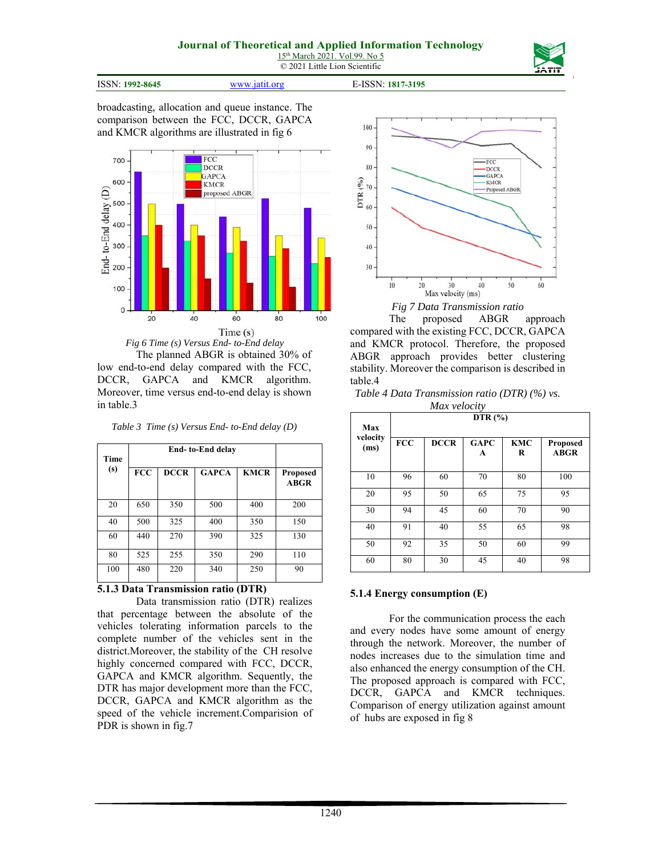

ISSN: **1992-8645** www.jatit.org E-ISSN: **1817-3195**



broadcasting, allocation and queue instance. The comparison between the FCC, DCCR, GAPCA and KMCR algorithms are illustrated in fig 6



*Fig 6 Time (s) Versus End- to-End delay* 

The planned ABGR is obtained 30% of low end-to-end delay compared with the FCC, DCCR, GAPCA and KMCR algorithm. Moreover, time versus end-to-end delay is shown in table.3

*Table 3 Time (s) Versus End- to-End delay (D)* 

| <b>Time</b> |            |             |              |             |                                |
|-------------|------------|-------------|--------------|-------------|--------------------------------|
| (s)         | <b>FCC</b> | <b>DCCR</b> | <b>GAPCA</b> | <b>KMCR</b> | <b>Proposed</b><br><b>ABGR</b> |
| 20          | 650        | 350         | 500          | 400         | 200                            |
| 40          | 500        | 325         | 400          | 350         | 150                            |
| 60          | 440        | 270         | 390          | 325         | 130                            |
| 80          | 525        | 255         | 350          | 290         | 110                            |
| 100         | 480        | 220         | 340          | 250         | 90                             |

#### **5.1.3 Data Transmission ratio (DTR)**

Data transmission ratio (DTR) realizes that percentage between the absolute of the vehicles tolerating information parcels to the complete number of the vehicles sent in the district.Moreover, the stability of the CH resolve highly concerned compared with FCC, DCCR, GAPCA and KMCR algorithm. Sequently, the DTR has major development more than the FCC, DCCR, GAPCA and KMCR algorithm as the speed of the vehicle increment.Comparision of PDR is shown in fig.7



*Fig 7 Data Transmission ratio* 

The proposed ABGR approach compared with the existing FCC, DCCR, GAPCA and KMCR protocol. Therefore, the proposed ABGR approach provides better clustering stability. Moreover the comparison is described in table.4

*Table 4 Data Transmission ratio (DTR) (%) vs. Max velocity* 

| Max              | DTR $(\% )$ |             |                  |                 |                         |  |  |  |
|------------------|-------------|-------------|------------------|-----------------|-------------------------|--|--|--|
| velocity<br>(ms) | <b>FCC</b>  | <b>DCCR</b> | <b>GAPC</b><br>A | <b>KMC</b><br>R | Proposed<br><b>ABGR</b> |  |  |  |
| 10               | 96          | 60          | 70               | 80              | 100                     |  |  |  |
| 20               | 95          | 50          | 65               | 75              | 95                      |  |  |  |
| 30               | 94          | 45          | 60               | 70              | 90                      |  |  |  |
| 40               | 91          | 40          | 55               | 65              | 98                      |  |  |  |
| 50               | 92          | 35          | 50               | 60              | 99                      |  |  |  |
| 60               | 80          | 30          | 45               | 40              | 98                      |  |  |  |

#### **5.1.4 Energy consumption (E)**

For the communication process the each and every nodes have some amount of energy through the network. Moreover, the number of nodes increases due to the simulation time and also enhanced the energy consumption of the CH. The proposed approach is compared with FCC, DCCR, GAPCA and KMCR techniques. Comparison of energy utilization against amount of hubs are exposed in fig 8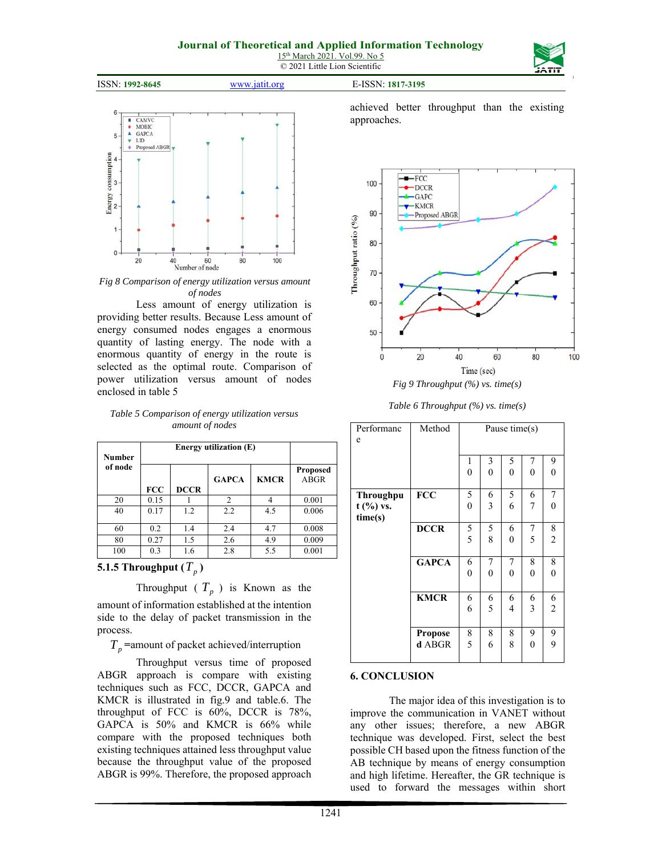## **Journal of Theoretical and Applied Information Technology**

15<sup>th</sup> March 2021. Vol.99. No 5 © 2021 Little Lion Scientific





*Fig 8 Comparison of energy utilization versus amount of nodes* 

Less amount of energy utilization is providing better results. Because Less amount of energy consumed nodes engages a enormous quantity of lasting energy. The node with a enormous quantity of energy in the route is selected as the optimal route. Comparison of power utilization versus amount of nodes enclosed in table 5

*Table 5 Comparison of energy utilization versus amount of nodes* 

| <b>Number</b> |            |                                |                |     |       |
|---------------|------------|--------------------------------|----------------|-----|-------|
| of node       | <b>FCC</b> | <b>Proposed</b><br><b>ABGR</b> |                |     |       |
| 20            | 0.15       |                                | $\overline{2}$ | 4   | 0.001 |
| 40            | 0.17       | 1.2                            | 2.2            | 4.5 | 0.006 |
| 60            | 0.2        | 1.4                            | 2.4            | 4.7 | 0.008 |
| 80            | 0.27       | 1.5                            | 2.6            | 4.9 | 0.009 |
| 100           | 0.3        | 1.6                            | 2.8            | 5.5 | 0.001 |

**5.1.5 Throughput**  $(T_n)$ 

Throughput ( $T_p$ ) is Known as the

amount of information established at the intention side to the delay of packet transmission in the process.

 $T_p$  =amount of packet achieved/interruption

Throughput versus time of proposed ABGR approach is compare with existing techniques such as FCC, DCCR, GAPCA and KMCR is illustrated in fig.9 and table.6. The throughput of FCC is 60%, DCCR is 78%, GAPCA is 50% and KMCR is 66% while compare with the proposed techniques both existing techniques attained less throughput value because the throughput value of the proposed ABGR is 99%. Therefore, the proposed approach achieved better throughput than the existing approaches.



*Table 6 Throughput (%) vs. time(s)* 

| Performanc<br>e                            | Method                   | Pause time(s)       |               |                     |                       |                     |
|--------------------------------------------|--------------------------|---------------------|---------------|---------------------|-----------------------|---------------------|
|                                            |                          | 1<br>$\overline{0}$ | 3<br>$\theta$ | 5<br>$\overline{0}$ | 7<br>$\boldsymbol{0}$ | 9<br>$\mathbf{0}$   |
| <b>Throughpu</b><br>$t$ (%) vs.<br>time(s) | <b>FCC</b>               | 5<br>$\overline{0}$ | 6<br>3        | 5<br>6              | 6<br>7                | 7<br>$\theta$       |
|                                            | <b>DCCR</b>              | 5<br>5              | 5<br>8        | 6<br>$\theta$       | 7<br>5                | 8<br>$\overline{c}$ |
|                                            | <b>GAPCA</b>             | 6<br>$\overline{0}$ | 7<br>$\theta$ | 7<br>$\overline{0}$ | 8<br>$\overline{0}$   | 8<br>$\theta$       |
|                                            | <b>KMCR</b>              | 6<br>6              | 6<br>5        | 6<br>4              | 6<br>3                | 6<br>$\overline{c}$ |
|                                            | <b>Propose</b><br>d ABGR | 8<br>5              | 8<br>6        | 8<br>8              | 9<br>$\mathbf{0}$     | 9<br>9              |

#### **6. CONCLUSION**

The major idea of this investigation is to improve the communication in VANET without any other issues; therefore, a new ABGR technique was developed. First, select the best possible CH based upon the fitness function of the AB technique by means of energy consumption and high lifetime. Hereafter, the GR technique is used to forward the messages within short

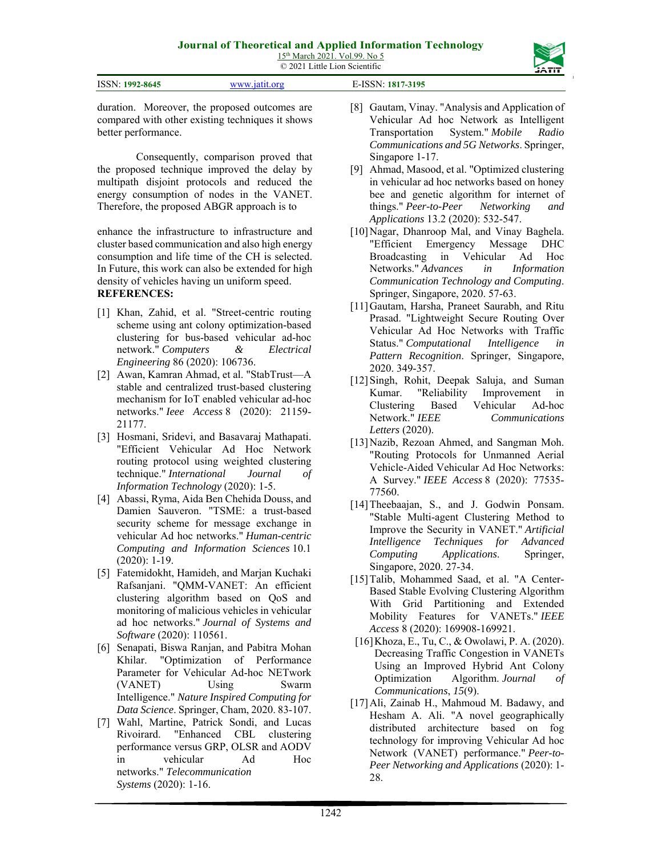| <b>ISSN: 1992-8645</b> | . | <b>ICCM</b><br>817-3195<br>ה<br>. |  |
|------------------------|---|-----------------------------------|--|
|                        |   |                                   |  |

duration. Moreover, the proposed outcomes are compared with other existing techniques it shows better performance.

Consequently, comparison proved that the proposed technique improved the delay by multipath disjoint protocols and reduced the energy consumption of nodes in the VANET. Therefore, the proposed ABGR approach is to

enhance the infrastructure to infrastructure and cluster based communication and also high energy consumption and life time of the CH is selected. In Future, this work can also be extended for high density of vehicles having un uniform speed. **REFERENCES:** 

- [1] Khan, Zahid, et al. "Street-centric routing scheme using ant colony optimization-based clustering for bus-based vehicular ad-hoc network." *Computers & Electrical Engineering* 86 (2020): 106736.
- [2] Awan, Kamran Ahmad, et al. "StabTrust—A stable and centralized trust-based clustering mechanism for IoT enabled vehicular ad-hoc networks." *Ieee Access* 8 (2020): 21159- 21177.
- [3] Hosmani, Sridevi, and Basavaraj Mathapati. "Efficient Vehicular Ad Hoc Network routing protocol using weighted clustering technique." *International Journal of Information Technology* (2020): 1-5.
- [4] Abassi, Ryma, Aida Ben Chehida Douss, and Damien Sauveron. "TSME: a trust-based security scheme for message exchange in vehicular Ad hoc networks." *Human-centric Computing and Information Sciences* 10.1 (2020): 1-19.
- [5] Fatemidokht, Hamideh, and Marjan Kuchaki Rafsanjani. "QMM-VANET: An efficient clustering algorithm based on QoS and monitoring of malicious vehicles in vehicular ad hoc networks." *Journal of Systems and Software* (2020): 110561.
- [6] Senapati, Biswa Ranjan, and Pabitra Mohan Khilar. "Optimization of Performance Parameter for Vehicular Ad-hoc NETwork (VANET) Using Swarm Intelligence." *Nature Inspired Computing for Data Science*. Springer, Cham, 2020. 83-107.
- [7] Wahl, Martine, Patrick Sondi, and Lucas Rivoirard. "Enhanced CBL clustering performance versus GRP, OLSR and AODV in vehicular Ad Hoc networks." *Telecommunication Systems* (2020): 1-16.

[8] Gautam, Vinay. "Analysis and Application of Vehicular Ad hoc Network as Intelligent Transportation System." *Mobile Radio Communications and 5G Networks*. Springer, Singapore 1-17.

- [9] Ahmad, Masood, et al. "Optimized clustering in vehicular ad hoc networks based on honey bee and genetic algorithm for internet of things." *Peer-to-Peer Networking and Applications* 13.2 (2020): 532-547.
- [10] Nagar, Dhanroop Mal, and Vinay Baghela. "Efficient Emergency Message DHC Broadcasting in Vehicular Ad Hoc Networks." *Advances in Information Communication Technology and Computing*. Springer, Singapore, 2020. 57-63.
- [11]Gautam, Harsha, Praneet Saurabh, and Ritu Prasad. "Lightweight Secure Routing Over Vehicular Ad Hoc Networks with Traffic Status." *Computational Intelligence in Pattern Recognition*. Springer, Singapore, 2020. 349-357.
- [12] Singh, Rohit, Deepak Saluja, and Suman Kumar. "Reliability Improvement in Clustering Based Vehicular Ad-hoc Network." *IEEE Communications Letters* (2020).
- [13] Nazib, Rezoan Ahmed, and Sangman Moh. "Routing Protocols for Unmanned Aerial Vehicle-Aided Vehicular Ad Hoc Networks: A Survey." *IEEE Access* 8 (2020): 77535- 77560.
- [14] Theebaajan, S., and J. Godwin Ponsam. "Stable Multi-agent Clustering Method to Improve the Security in VANET." *Artificial Intelligence Techniques for Advanced Computing Applications*. Springer, Singapore, 2020. 27-34.
- [15] Talib, Mohammed Saad, et al. "A Center-Based Stable Evolving Clustering Algorithm With Grid Partitioning and Extended Mobility Features for VANETs." *IEEE Access* 8 (2020): 169908-169921.
- [16]Khoza, E., Tu, C., & Owolawi, P. A. (2020). Decreasing Traffic Congestion in VANETs Using an Improved Hybrid Ant Colony Optimization Algorithm. *Journal of Communications*, *15*(9).
- [17]Ali, Zainab H., Mahmoud M. Badawy, and Hesham A. Ali. "A novel geographically distributed architecture based on fog technology for improving Vehicular Ad hoc Network (VANET) performance." *Peer-to-Peer Networking and Applications* (2020): 1- 28.